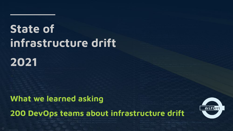# **State of infrastructure drift**

# **2021**

**What we learned asking 200 DevOps teams about infrastructure drift**

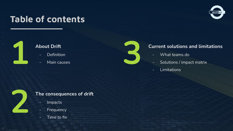## **Table of contents**





### **About Drift**

- Definition
- Main causes



- What teams do
- 
- 

**3**



### **The consequences of drift**

- Impacts
- Frequency
- Time to fix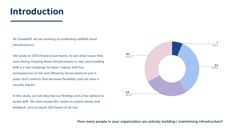## **Introduction**

At Cloudskiff, we are working on protecting codified cloud infrastructures.

We spoke to 200 infrastructure teams, to see what issues they were facing. Keeping those infrastructures in sync and avoiding drift is a real challenge for them. Indeed, drift has consequences on toil and efficiency, forces teams to put in place strict controls that decrease flexibility, and can have a security impact.

In this study, we will describe our findings and a few options to tackle drift. We interviewed 50+ teams to collect stories and feedback, and surveyed 200 teams of all size.



### **How many people in your organization are actively building / maintaining infrastructure?**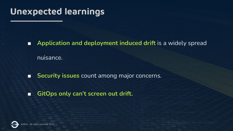## **Unexpected learnings**

■ **Application and deployment induced drift** is a widely spread nuisance.

■ **Security issues** count among major concerns.

### ■ **GitOps only can't screen out drift.**

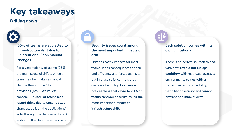## **Key takeaways**

### **Drilling down**

**50% of teams are subjected to infrastructure drift due to unintentional / non manual changes**

For a vast majority of teams (96%) the main cause of drift is when a team member makes a manual change through the Cloud provider's (AWS, Azure, etc) console. But **50% of teams also record drifts due to uncontrolled changes**, be it on the applications' side, through the deployment stack and/or on the cloud providers' side.

### **Security issues count among the most important impacts of drift**

Drift has costly impacts for most teams. It has consequences on toil and efficiency and forces teams to put in place strict controls that decrease flexibility. **Even more noticeable is that close to 20% of teams consider security issues the most important impact of infrastructure drift.**

### **Each solution comes with its own limitations**

There is no perfect solution to deal with drift. **Even a full GitOps workflow** with restricted access to environments **comes with a tradeoff** in terms of visibility, flexibility or security and **cannot prevent non manual drift.**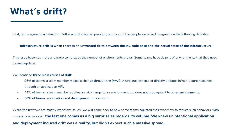## **What's drift?**

First, let us agree on a definition. Drift is a multi-faceted problem, but most of the people we talked to agreed on the following definition:

### **"Infrastructure drift is when there is an unwanted delta between the IaC code base and the actual state of the infrastructure."**

This issue becomes more and more complex as the number of environments grows. Some teams have dozens of environments that they need to keep updated.

### We identified **three main causes of drift**:

- 96% of teams: a team member makes a change through the (AWS, Azure, etc) console or directly updates infrastructure resources through an application API.
- 44% of teams: a team member applies an IaC change to an environment but does not propagate it to other environments.
- **50% of teams: application and deployment induced drift.**

While the first two are mostly workflow issues (we will come back to how some teams adjusted their workflow to reduce such behaviors, with more or less success), **the last one comes as a big surprise as regards its volume**. **We knew unintentional application and deployment induced drift was a reality, but didn't expect such a massive spread.**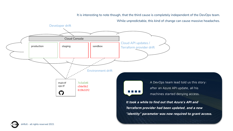It is interesting to note though, that the third cause is completely independent of the DevOps team.

While unpredictable, this kind of change can cause massive headaches.



**It took a while to find out that Azure's API and Terraform provider had been updated, and a new "identity" parameter was now required to grant access.**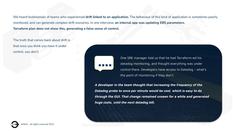We heard testimonials of teams who experienced **drift linked to an application.** The behaviour of this kind of application is sometimes poorly monitored, and can generate complex drift scenarios. In one interview, **an internal app was updating EBS parameters. Terraform plan does not show this, generating a false sense of control.**

The truth that comes back about drift is that once you think you have it under control, you don't.

> One SRE manager told us that he had Terraform-ed his datadog monitoring, and thought everything was under control there. Developers have access to Datadog - what's the point of monitoring if they don't.

**A developer in the team thought that increasing the frequency of the Datadog probe to once per minute would be cool, which is easy to do through the GUI. That change remained unseen for a while and generated huge costs, until the next datadog bill.**

- all rights reserved 2021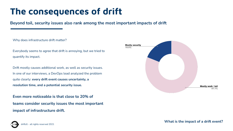## **The consequences of drift**

**Beyond toil, security issues also rank among the most important impacts of drift**

Why does infrastructure drift matter?

Everybody seems to agree that drift is annoying, but we tried to quantify its impact.

Drift mostly causes additional work, as well as security issues. In one of our interviews, a DevOps lead analyzed the problem quite clearly: **every drift event causes uncertainty, a resolution time, and a potential security issue.**

**Even more noticeable is that close to 20% of teams consider security issues the most important impact of infrastructure drift.**

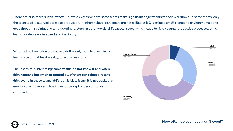**There are also more subtle effects**. To avoid excessive drift, some teams make significant adjustments to their workflows. In some teams, only the team lead is allowed access to production. In others where developers are not skilled at IaC, getting a small change to environments done goes through a painful and long ticketing system. In other words, drift causes issues, which leads to rigid / counterproductive processes, which leads to a **decrease in speed and flexibility.**

When asked how often they have a drift event, roughly one-third of teams face drift at least weekly, one-third monthly.

The last third is interesting: **some teams do not know if and when drift happens but when prompted all of them can relate a recent drift event**. In those teams, drift is a visibility issue: it is not tracked, or measured, or observed, thus it cannot be kept under control or improved.



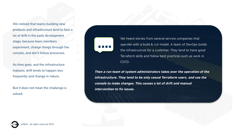We noticed that teams building new products and infrastructure tend to face a lot of drift in the early development stage, because team members experiment, change things through the console, and don't follow processes.

As time goes, and the infrastructure matures, drift tends to happen less frequently and change in nature.

But it does not mean the challenge is solved.



We heard stories from several service companies that operate with a build & run model. A team of DevOps builds the infrastructure for a customer. They tend to have good Terraform skills and follow best practices such as work in CI/CD.

**Then a run team of system administrators takes over the operation of the infrastructure. They tend to be only casual Terraform users, and use the console to make changes. This causes a lot of drift and manual intervention to fix issues.**

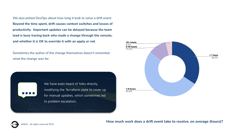We also polled DevOps about how long it took to solve a drift event. **Beyond the time spent, drift causes context switches and losses of productivity. Important updates can be delayed because the team lead is busy tracing back who made a change through the console, and whether it is OK to override it with an apply or not**.

Sometimes the author of the change themselves doesn't remember what the change was for.





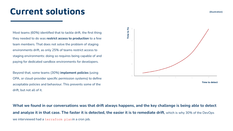## **Current solutions**

Most teams (60%) identified that to tackle drift, the first thing they needed to do was **restrict access to production** to a few team members. That does not solve the problem of staging environments drift, as only 25% of teams restrict access to staging environments: doing so requires being capable of and paying for dedicated sandbox environments for developers.

Beyond that, some teams (30%) **implement policies** (using OPA, or cloud-provider specific permission systems) to define acceptable policies and behaviour. This prevents some of the drift, but not all of it.



**What we found in our conversations was that drift always happens, and the key challenge is being able to detect and analyze it in that case. The faster it is detected, the easier it is to remediate drift**, which is why 30% of the DevOps we interviewed had a terraform planin a cron job.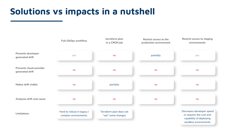## **Solutions vs impacts in a nutshell**

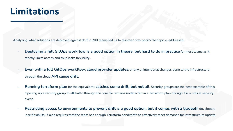## **Limitations**

Analyzing what solutions are deployed against drift in 200 teams led us to discover how poorly the topic is addressed.

- **Deploying a full GitOps workflow is a good option in theory, but hard to do in practice** for most teams as it strictly limits access and thus lacks flexibility.
- **Even with a full GitOps workflow, cloud provider updates**, or any unintentional changes done to the infrastructure through the cloud **API cause drift.**
- **Running terraform plan** (or the equivalent) **catches some drift, but not all**. Security groups are the best example of this. Opening up a security group to all traffic through the console remains undetected in a Terraform plan, though it is a critical security event.
- **Restricting access to environments to prevent drift is a good option, but it comes with a tradeoff**: developers lose flexibility. It also requires that the team has enough Terraform bandwidth to effectively meet demands for infrastructure update.